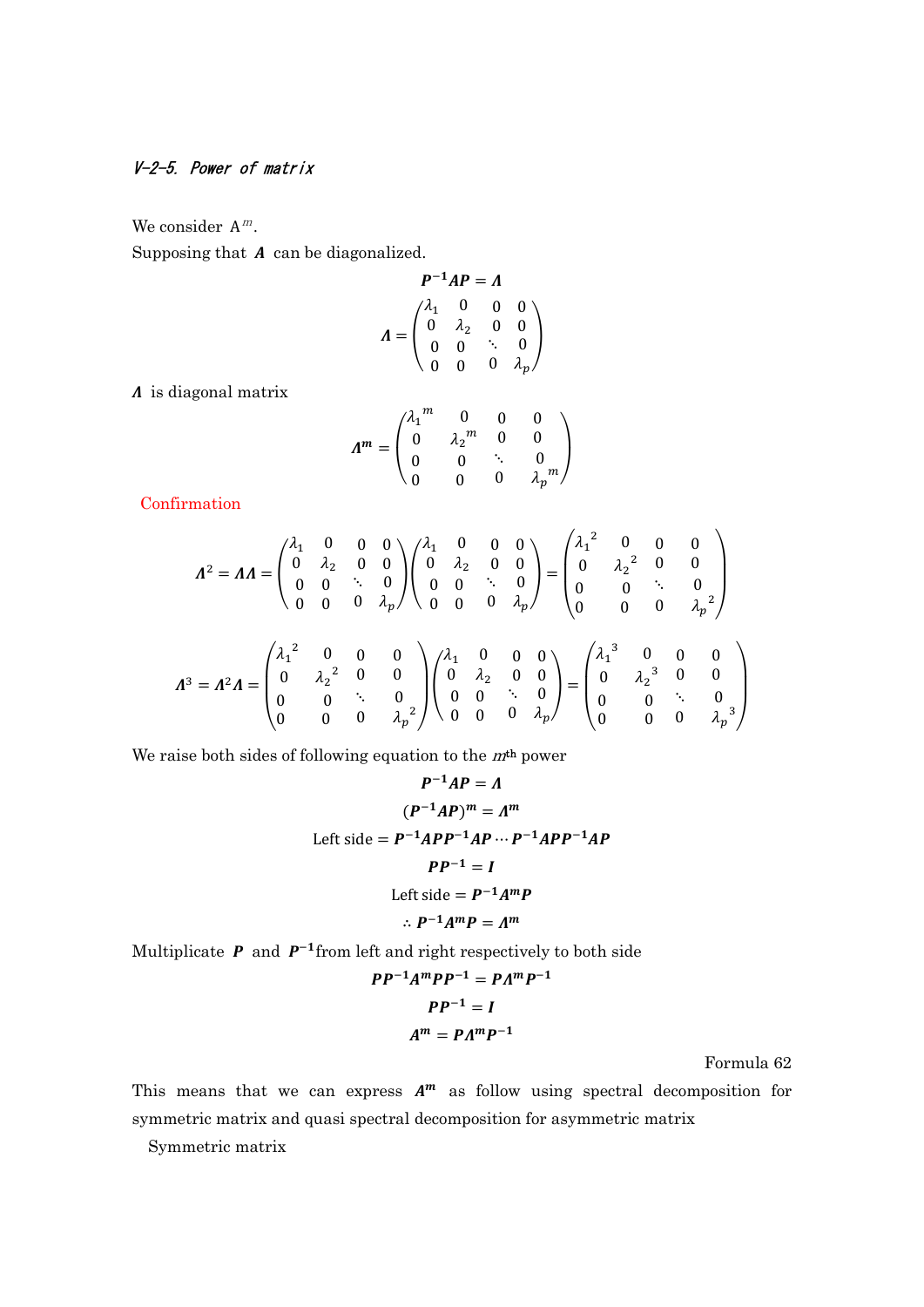## V-2-5. Power of matrix

We consider  $A^m$ .

Supposing that  $A$  can be diagonalized.

$$
P^{-1}AP = A
$$
  

$$
A = \begin{pmatrix} \lambda_1 & 0 & 0 & 0 \\ 0 & \lambda_2 & 0 & 0 \\ 0 & 0 & \ddots & 0 \\ 0 & 0 & 0 & \lambda_p \end{pmatrix}
$$

 $\Lambda$  is diagonal matrix

$$
\Lambda^m = \begin{pmatrix} \lambda_1^m & 0 & 0 & 0 \\ 0 & \lambda_2^m & 0 & 0 \\ 0 & 0 & \ddots & 0 \\ 0 & 0 & 0 & \lambda_p^m \end{pmatrix}
$$

Confirmation

$$
\Lambda^{2} = \Lambda A = \begin{pmatrix} \lambda_{1} & 0 & 0 & 0 \\ 0 & \lambda_{2} & 0 & 0 \\ 0 & 0 & \ddots & 0 \\ 0 & 0 & 0 & \lambda_{p} \end{pmatrix} \begin{pmatrix} \lambda_{1} & 0 & 0 & 0 \\ 0 & \lambda_{2} & 0 & 0 \\ 0 & 0 & \ddots & 0 \\ 0 & 0 & 0 & \lambda_{p} \end{pmatrix} = \begin{pmatrix} \lambda_{1}^{2} & 0 & 0 & 0 \\ 0 & \lambda_{2}^{2} & 0 & 0 \\ 0 & 0 & \ddots & 0 \\ 0 & 0 & 0 & \lambda_{p}^{2} \end{pmatrix}
$$

$$
\Lambda^{3} = \Lambda^{2} \Lambda = \begin{pmatrix} \lambda_{1}^{2} & 0 & 0 & 0 \\ 0 & \lambda_{2}^{2} & 0 & 0 \\ 0 & 0 & \ddots & 0 \\ 0 & 0 & 0 & \lambda_{p}^{2} \end{pmatrix} \begin{pmatrix} \lambda_{1} & 0 & 0 & 0 \\ 0 & \lambda_{2} & 0 & 0 \\ 0 & 0 & \ddots & 0 \\ 0 & 0 & 0 & \lambda_{p}^{2} \end{pmatrix} = \begin{pmatrix} \lambda_{1}^{2} & 0 & 0 & 0 \\ 0 & \lambda_{2}^{2} & 0 & 0 \\ 0 & \lambda_{2}^{3} & 0 & 0 \\ 0 & 0 & \ddots & 0 \\ 0 & 0 & 0 & \lambda_{p}^{3} \end{pmatrix}
$$

We raise both sides of following equation to the  $m<sup>th</sup>$  power

$$
P^{-1}AP = \Lambda
$$
  
\n
$$
(P^{-1}AP)^m = \Lambda^m
$$
  
\nLeft side =  $P^{-1}APP^{-1}AP \cdots P^{-1}APP^{-1}AP$   
\n
$$
PP^{-1} = I
$$
  
\nLeft side =  $P^{-1}A^mP$   
\n $\therefore P^{-1}A^mP = \Lambda^m$ 

Multiplicate  $P$  and  $P^{-1}$ from left and right respectively to both side

$$
PP^{-1}A^{m}PP^{-1} = P A^{m} P^{-1}
$$

$$
PP^{-1} = I
$$

$$
A^{m} = P A^{m} P^{-1}
$$

Formula 62

This means that we can express  $A^m$  as follow using spectral decomposition for symmetric matrix and quasi spectral decomposition for asymmetric matrix

Symmetric matrix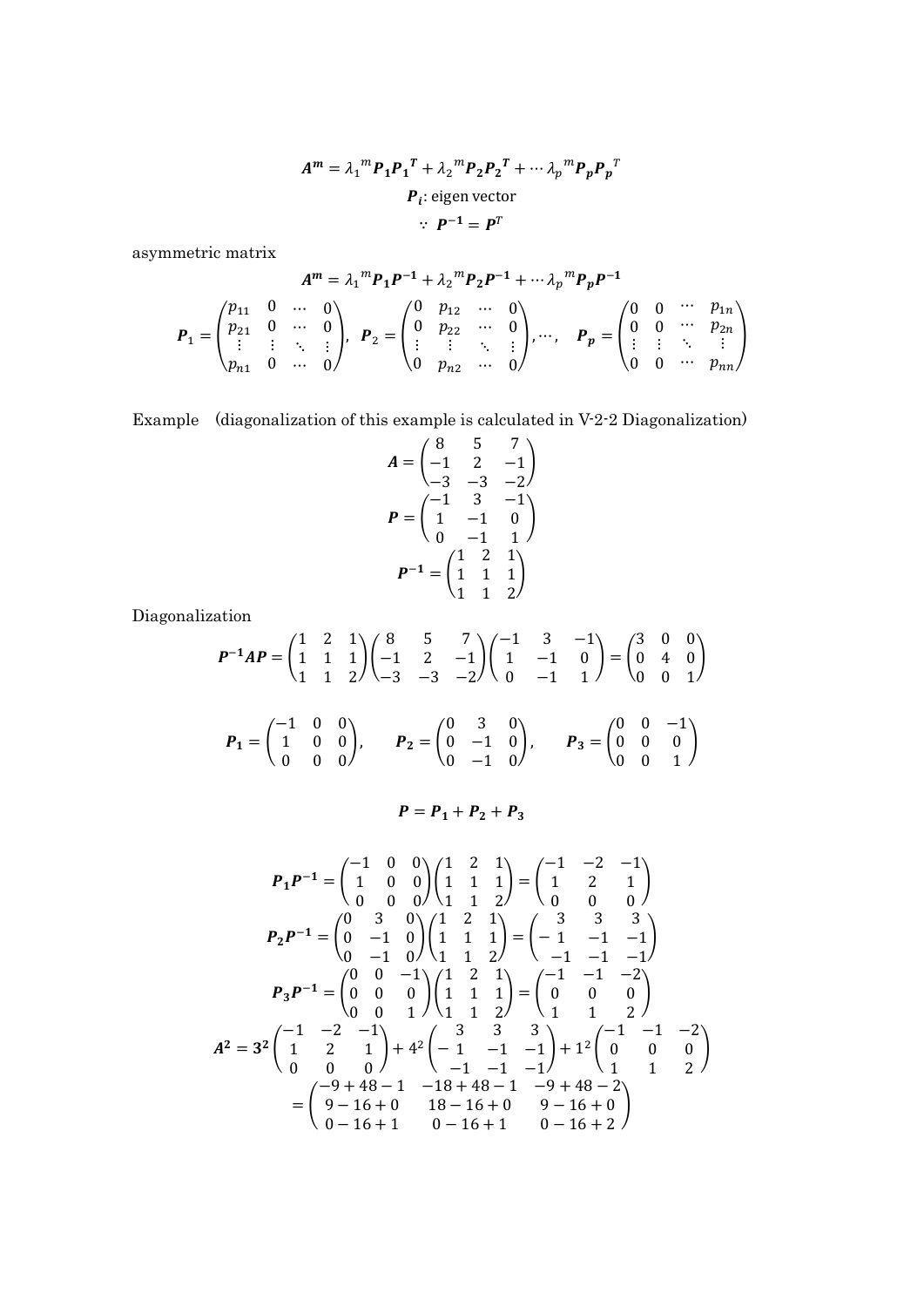$$
Am = \lambda_1m P_1 P_1T + \lambda_2m P_2 P_2T + \cdots \lambda_pm P_p P_pT
$$
  

$$
P_i
$$
: eigen vector  

$$
\therefore P^{-1} = PT
$$

asymmetric matrix

$$
A^{m} = \lambda_{1} {}^{m} P_{1} P^{-1} + \lambda_{2} {}^{m} P_{2} P^{-1} + \cdots \lambda_{p} {}^{m} P_{p} P^{-1}
$$
  
\n
$$
P_{1} = \begin{pmatrix} p_{11} & 0 & \cdots & 0 \\ p_{21} & 0 & \cdots & 0 \\ \vdots & \vdots & \ddots & \vdots \\ p_{n1} & 0 & \cdots & 0 \end{pmatrix}, \quad P_{2} = \begin{pmatrix} 0 & p_{12} & \cdots & 0 \\ 0 & p_{22} & \cdots & 0 \\ \vdots & \vdots & \ddots & \vdots \\ 0 & p_{n2} & \cdots & 0 \end{pmatrix}, \cdots, \quad P_{p} = \begin{pmatrix} 0 & 0 & \cdots & p_{1n} \\ 0 & 0 & \cdots & p_{2n} \\ \vdots & \vdots & \ddots & \vdots \\ 0 & 0 & \cdots & p_{nn} \end{pmatrix}
$$

Example (diagonalization of this example is calculated in V-2-2 Diagonalization)

$$
A = \begin{pmatrix} 8 & 5 & 7 \\ -1 & 2 & -1 \\ -3 & -3 & -2 \end{pmatrix}
$$
  

$$
P = \begin{pmatrix} -1 & 3 & -1 \\ 1 & -1 & 0 \\ 0 & -1 & 1 \end{pmatrix}
$$
  

$$
P^{-1} = \begin{pmatrix} 1 & 2 & 1 \\ 1 & 1 & 1 \\ 1 & 1 & 2 \end{pmatrix}
$$

Diagonalization

$$
P^{-1}AP = \begin{pmatrix} 1 & 2 & 1 \\ 1 & 1 & 1 \\ 1 & 1 & 2 \end{pmatrix} \begin{pmatrix} 8 & 5 & 7 \\ -1 & 2 & -1 \\ -3 & -3 & -2 \end{pmatrix} \begin{pmatrix} -1 & 3 & -1 \\ 1 & -1 & 0 \\ 0 & -1 & 1 \end{pmatrix} = \begin{pmatrix} 3 & 0 & 0 \\ 0 & 4 & 0 \\ 0 & 0 & 1 \end{pmatrix}
$$

$$
P_1 = \begin{pmatrix} -1 & 0 & 0 \\ 1 & 0 & 0 \\ 0 & 0 & 0 \end{pmatrix}, \qquad P_2 = \begin{pmatrix} 0 & 3 & 0 \\ 0 & -1 & 0 \\ 0 & -1 & 0 \end{pmatrix}, \qquad P_3 = \begin{pmatrix} 0 & 0 & -1 \\ 0 & 0 & 0 \\ 0 & 0 & 1 \end{pmatrix}
$$

$$
P = P_1 + P_2 + P_3
$$

$$
P_1P^{-1} = \begin{pmatrix} -1 & 0 & 0 \\ 1 & 0 & 0 \\ 0 & 0 & 0 \end{pmatrix} \begin{pmatrix} 1 & 2 & 1 \\ 1 & 1 & 1 \\ 1 & 1 & 2 \end{pmatrix} = \begin{pmatrix} -1 & -2 & -1 \\ 1 & 2 & 1 \\ 0 & 0 & 0 \end{pmatrix}
$$
  
\n
$$
P_2P^{-1} = \begin{pmatrix} 0 & 3 & 0 \\ 0 & -1 & 0 \\ 0 & -1 & 0 \end{pmatrix} \begin{pmatrix} 1 & 2 & 1 \\ 1 & 1 & 1 \\ 1 & 1 & 2 \end{pmatrix} = \begin{pmatrix} 3 & 3 & 3 \\ -1 & -1 & -1 \\ -1 & -1 & -1 \end{pmatrix}
$$
  
\n
$$
P_3P^{-1} = \begin{pmatrix} 0 & 0 & -1 \\ 0 & 0 & 0 \\ 0 & 0 & 1 \end{pmatrix} \begin{pmatrix} 1 & 2 & 1 \\ 1 & 1 & 1 \\ 1 & 1 & 2 \end{pmatrix} = \begin{pmatrix} -1 & -1 & -2 \\ 0 & 0 & 0 \\ 1 & 1 & 2 \end{pmatrix}
$$
  
\n
$$
A^2 = 3^2 \begin{pmatrix} -1 & -2 & -1 \\ 1 & 2 & 1 \\ 0 & 0 & 0 \end{pmatrix} + 4^2 \begin{pmatrix} 3 & 3 & 3 \\ -1 & -1 & -1 \\ -1 & -1 & -1 \end{pmatrix} + 1^2 \begin{pmatrix} -1 & -1 & -2 \\ 0 & 0 & 0 \\ 1 & 1 & 2 \end{pmatrix}
$$
  
\n
$$
= \begin{pmatrix} -9 + 48 - 1 & -18 + 48 - 1 & -9 + 48 - 2 \\ 9 - 16 + 0 & 18 - 16 + 0 & 9 - 16 + 0 \\ 0 - 16 + 1 & 0 - 16 + 2 \end{pmatrix}
$$